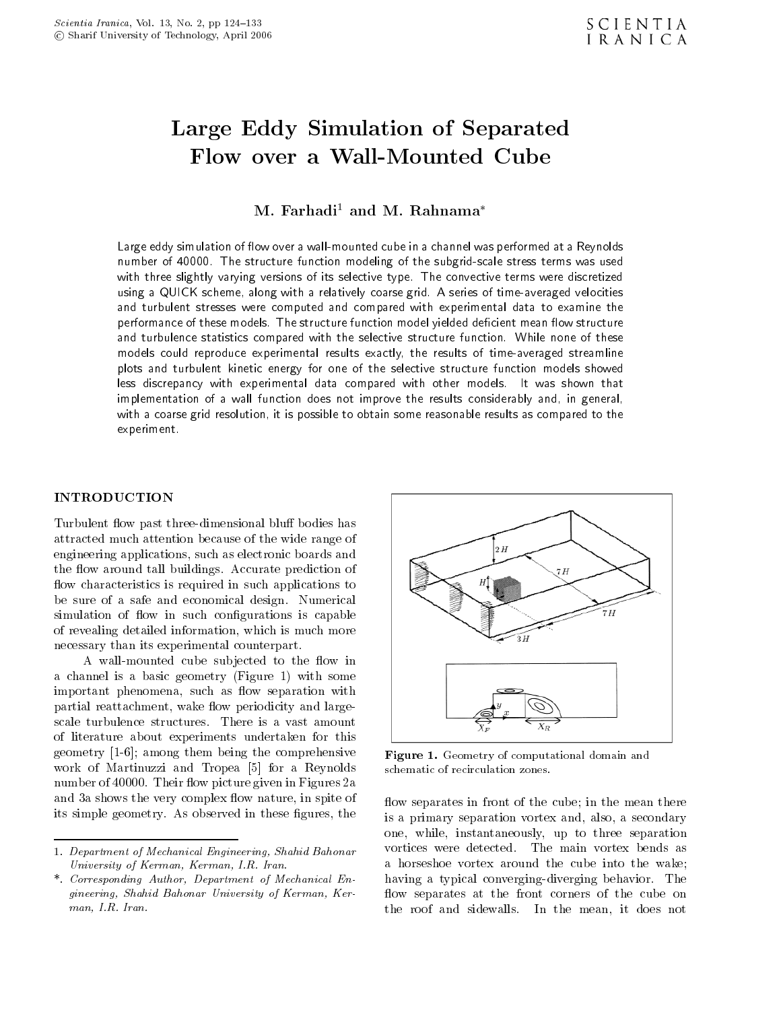# $\blacksquare$  .  $\blacksquare$   $\blacksquare$  .  $\blacksquare$  .  $\blacksquare$  .  $\blacksquare$  .  $\blacksquare$  .  $\blacksquare$  .  $\blacksquare$  .  $\blacksquare$  .  $\blacksquare$  .  $\blacksquare$  .  $\blacksquare$  .  $\blacksquare$  .  $\blacksquare$  .  $\blacksquare$  .  $\blacksquare$  .  $\blacksquare$  .  $\blacksquare$  .  $\blacksquare$  .  $\blacksquare$  .  $\blacksquare$  .  $\blacksquare$  .  $\blacksquare$  .  $\blacksquare$

 $M.$  Farhadi<sup>1</sup> and M. Rahnama<sup>\*</sup>

Large eddy simulation of flow over a wall-mounted cube in a channel was performed at a Reynolds number of 40000. The structure function modeling of the subgrid-scale stress terms was used with three slightly varying versions of its selective type. The convective terms were discretized using a QUICK scheme, along with a relatively coarse grid. A series of time-averaged velocities and turbulent stresses were computed and compared with experimental data to examine the performance of these models. The structure function model yielded deficient mean flow structure and turbulence statistics compared with the selective structure function. While none of these models could reproduce experimental results exactly, the results of time-averaged streamline plots and turbulent kinetic energy for one of the selective structure function models showed less discrepancy with experimental data compared with other models. It was shown that implementation of <sup>a</sup> wall function does not improve the results considerably and, in general, with a coarse grid resolution, it is possible to obtain some reasonable results as compared to the experiment.

# INTRODUCTION

Turbulent flow past three-dimensional bluff bodies has attracted much attention because of the wide range of engineering applications, such as electronic boards and the flow around tall buildings. Accurate prediction of flow characteristics is required in such applications to be sure of <sup>a</sup> safe and economical design. Numerical simulation of flow in such configurations is capable of revealing detailed information, which is much more necessary than its experimental counterpart.

A wall-mounted cube subjected to the flow in <sup>a</sup> channel is <sup>a</sup> basic geometry (Figure 1) with some important phenomena, such as flow separation with partial reattachment, wake flow periodicity and largescale turbulence structures. There is <sup>a</sup> vast amount of literature about experiments undertaken for this geometry [1-6]; among them being the comprehensive work of Martinuzzi and Tropea [5] for a Reynolds schematic of recirculation zones. number of 40000. Their flow picture given in Figures 2a and 3a shows the very complex flow nature, in spite of its simple geometry. As observed in these figures, the



Figure 1. Geometry of computational domain and

flow separates in front of the cube; in the mean there is <sup>a</sup> primary separation vortex and, also, a secondary one, while, instantaneously, up to three separation vortices were detected. The main vortex bends as <sup>a</sup> horseshoe vortex around the cube into the wake; having <sup>a</sup> typical converging-diverging behavior. The flow separates at the front corners of the cube on the roof and sidewalls. In the mean, it does not

<sup>1.</sup> Department of Mechanical Engineering, Shahid Bahonar University of Kerman, Kerman, I.R. Iran.

<sup>\*.</sup> Corresponding Author, Department of Mechanical Engineering, Shahid Bahonar University of Kerman, Kerman, I.R. Iran.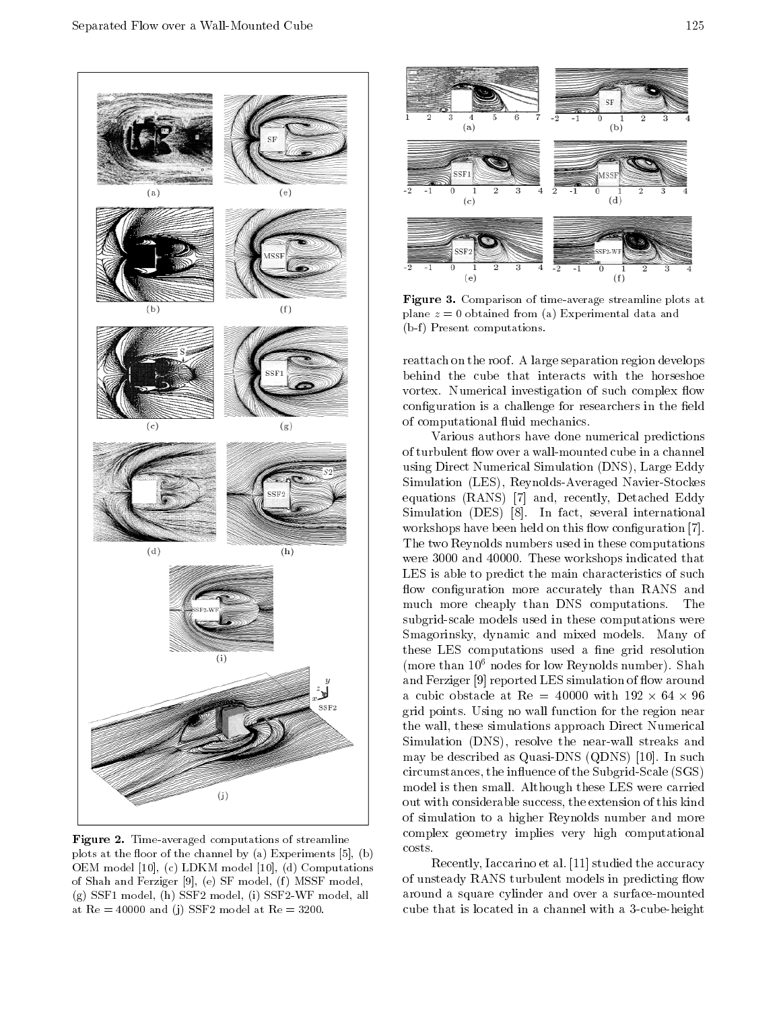

 $\blacksquare$   $\blacksquare$   $\blacksquare$   $\blacksquare$   $\blacksquare$   $\blacksquare$   $\blacksquare$   $\blacksquare$   $\blacksquare$   $\blacksquare$   $\blacksquare$   $\blacksquare$   $\blacksquare$   $\blacksquare$   $\blacksquare$   $\blacksquare$   $\blacksquare$   $\blacksquare$   $\blacksquare$   $\blacksquare$   $\blacksquare$   $\blacksquare$   $\blacksquare$   $\blacksquare$   $\blacksquare$   $\blacksquare$   $\blacksquare$   $\blacksquare$   $\blacksquare$   $\blacksquare$   $\blacksquare$   $\blacks$ plots at the floor of the channel by (a) Experiments  $[5]$ ,  $(b)$ OEM model [10], (c) LDKM model [10], (d) Computations of Shah and Ferziger [9], (e) SF model, (f) MSSF model, (g) SSF1 model, (h) SSF2 model, (i) SSF2-WF model, all at  $Re = 40000$  and (j) SSF2 model at  $Re = 3200$ .



Figure 3. Comparison of time-average streamline plots at plane  $z = 0$  obtained from (a) Experimental data and  $(b-f)$  Present computations.

reattach on the roof. A large separation region develops behind the cube that interacts with the horseshoe vortex. Numerical investigation of such complex flow configuration is a challenge for researchers in the field of computational fluid mechanics.

Various authors have done numerical predictions of turbulent flow over a wall-mounted cube in a channel using Direct Numerical Simulation (DNS), Large Eddy Simulation (LES), Reynolds-Averaged Navier-Stockes equations (RANS) [7] and, recently, Detached Eddy Simulation (DES) [8]. In fact, several international workshops have been held on this flow configuration [7]. The two Reynolds numbers used in these computations were 3000 and 40000. These workshops indicated that LES is able to predict the main characteristics of such flow configuration more accurately than RANS and much more cheaply than DNS computations. The subgrid-scale models used in these computations were Smagorinsky, dynamic and mixed models. Many of these LES computations used a fine grid resolution (more than 106 nodes for low Reynolds number). Shah and Ferziger [9] reported LES simulation of flow around grid points. Using no wall function for the region near the wall, these simulations approach Direct Numerical Simulation (DNS), resolve the near-wall streaks and may be described as Quasi-DNS (QDNS) [10]. In such circumstances, the influence of the Subgrid-Scale (SGS) model is then small. Although these LES were carried out with considerable success, the extension of this kind of simulation to <sup>a</sup> higher Reynolds number and more complex geometry implies very high computational costs.

Recently, Iaccarino et al. [11] studied the accuracy of unsteady RANS turbulent models in predicting flow around <sup>a</sup> square cylinder and over a surface-mounted cube that is located in a channel with a 3-cube-height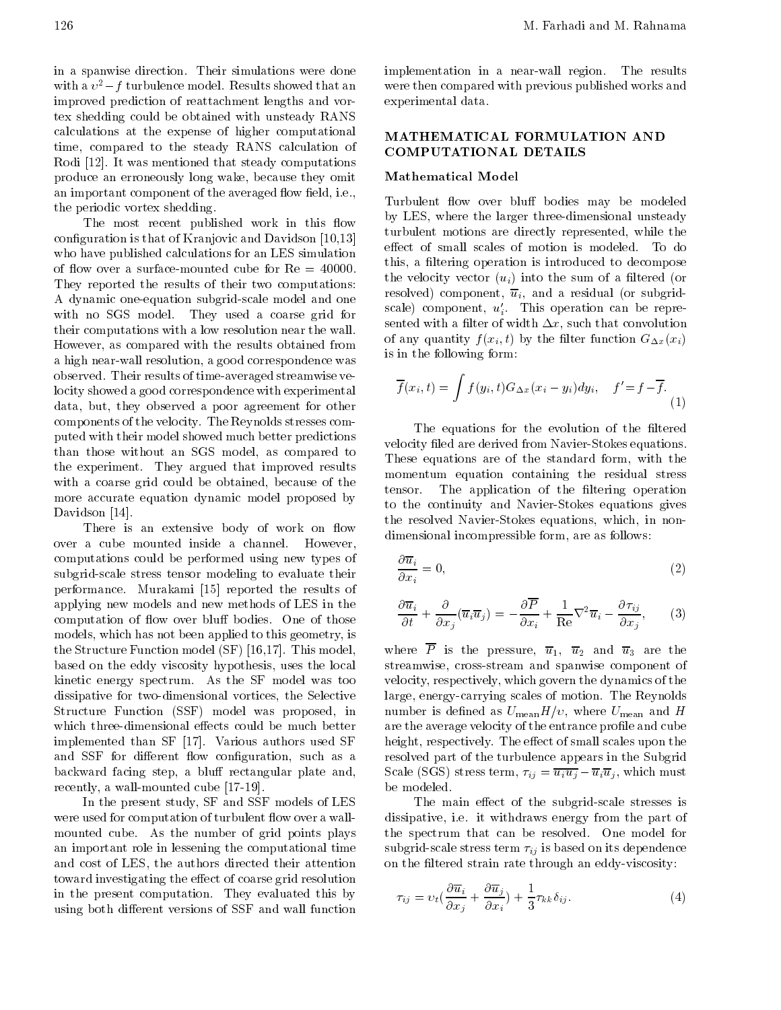in <sup>a</sup> spanwise direction. Their simulations were done with a  $v^2$  f turbulence model. Results showed that an improved prediction of reattachment lengths and vortex shedding could be obtained with unsteady RANS calculations at the expense of higher computational time, compared to the steady RANS calculation of Rodi [12]. It was mentioned that steady computations produce an erroneously long wake, because they omit an important component of the averaged flow field, i.e., the periodic vortex shedding.

The most recent published work in this flow configuration is that of Kranjovic and Davidson [10,13] who have published calculations for an LES simulation of flow over a surface-mounted cube for  $Re = 40000$ . They reported the results of their two computations: <sup>A</sup> dynamic one-equation subgrid-scale model and one with no SGS model. They used <sup>a</sup> coarse grid for their computations with a low resolution near the wall. However, as compared with the results obtained from <sup>a</sup> high near-wall resolution, a good correspondence was observed. Their results of time-averaged streamwise velocity showed a good correspondence with experimental data, but, they observed <sup>a</sup> poor agreement for other components of the velocity. The Reynolds stresses computed with their model showed much better predictions than those without an SGS model, as compared to the experiment. They argued that improved results with a coarse grid could be obtained, because of the tensor. more accurate equation dynamic model proposed by Davidson [14].

There is an extensive body of work on flow over <sup>a</sup> cube mounted inside <sup>a</sup> channel. However, computations could be performed using new types of subgrid-scale stress tensor modeling to evaluate their performance. Murakami [15] reported the results of applying new models and new methods of LES in the computation of flow over bluff bodies. One of those models, which has not been applied to this geometry, is the Structure Function model (SF) [16,17]. This model, based on the eddy viscosity hypothesis, uses the local kinetic energy spectrum. As the SF model was too dissipative for two-dimensional vortices, the Selective Structure Function (SSF) model was proposed, in which three-dimensional effects could be much better implemented than SF [17]. Various authors used SF and SSF for different flow configuration, such as a backward facing step, a bluff rectangular plate and, recently, a wall-mounted cube [17-19].

In the present study, SF and SSF models of LES were used for computation of turbulent flow over a wallmounted cube. As the number of grid points plays an important role in lessening the computational time and cost of LES, the authors directed their attention toward investigating the effect of coarse grid resolution in the present computation. They evaluated this by using both different versions of SSF and wall function implementation in <sup>a</sup> near-wall region. The results were then compared with previous published works and experimental data.

# MATHEMATICAL FORMULATION AND COMPUTATIONAL DETAILS

### Mathematical Model

Turbulent flow over bluff bodies may be modeled by LES, where the larger three-dimensional unsteady turbulent motions are directly represented, while the effect of small scales of motion is modeled. To do this, a filtering operation is introduced to decompose the velocity vector  $(u_i)$  into the sum of a filtered (or resolved) component,  $\overline{u}_i$ , and a residual (or subgridscale) component,  $u_i$ . This operation can be represented with a filter of width  $\Delta x$ , such that convolution of any quantity  $f(x_i, t)$  by the filter function  $G_{\Delta x}(x_i)$ is in the following form:

$$
\overline{f}(x_i, t) = \int f(y_i, t) G_{\Delta x}(x_i - y_i) dy_i, \quad f' = f \quad \overline{f}.
$$
\n(1)

The equations for the evolution of the filtered velocity filed are derived from Navier-Stokes equations. These equations are of the standard form, with the momentum equation containing the residual stress The application of the filtering operation to the continuity and Navier-Stokes equations gives the resolved Navier-Stokes equations, which, in nondimensional incompressible form, are as follows:

$$
\frac{\partial \overline{u}_i}{\partial x_i} = 0,\tag{2}
$$

$$
\frac{\partial \overline{u}_i}{\partial t} + \frac{\partial}{\partial x_j} (\overline{u}_i \overline{u}_j) = \frac{\partial \overline{P}}{\partial x_i} + \frac{1}{\text{Re}} \nabla^2 \overline{u}_i \quad \frac{\partial \tau_{ij}}{\partial x_j}, \qquad (3)
$$

where  $\overline{P}$  is the pressure,  $\overline{u}_1$ ,  $\overline{u}_2$  and  $\overline{u}_3$  are the streamwise, cross-stream and spanwise component of velocity, respectively, which govern the dynamics of the large, energy-carrying scales of motion. The Reynolds number is defined as  $U_{\text{mean}}H/v$ , where  $U_{\text{mean}}$  and H are the average velocity of the entrance profile and cube height, respectively. The effect of small scales upon the resolved part of the turbulence appears in the Subgrid Scale (SGS) stress term,  $\tau_{ij} = \overline{u_i u_j}$   $\overline{u}_i \overline{u}_j$ , which must be modeled.

The main effect of the subgrid-scale stresses is dissipative, i.e. it withdraws energy from the part of the spectrum that can be resolved. One model for subgrid-scale stress term  $\tau_{ij}$  is based on its dependence on the filtered strain rate through an eddy-viscosity:

$$
\tau_{ij} = v_t \left( \frac{\partial \overline{u}_i}{\partial x_j} + \frac{\partial \overline{u}_j}{\partial x_i} \right) + \frac{1}{3} \tau_{kk} \delta_{ij}.
$$
\n(4)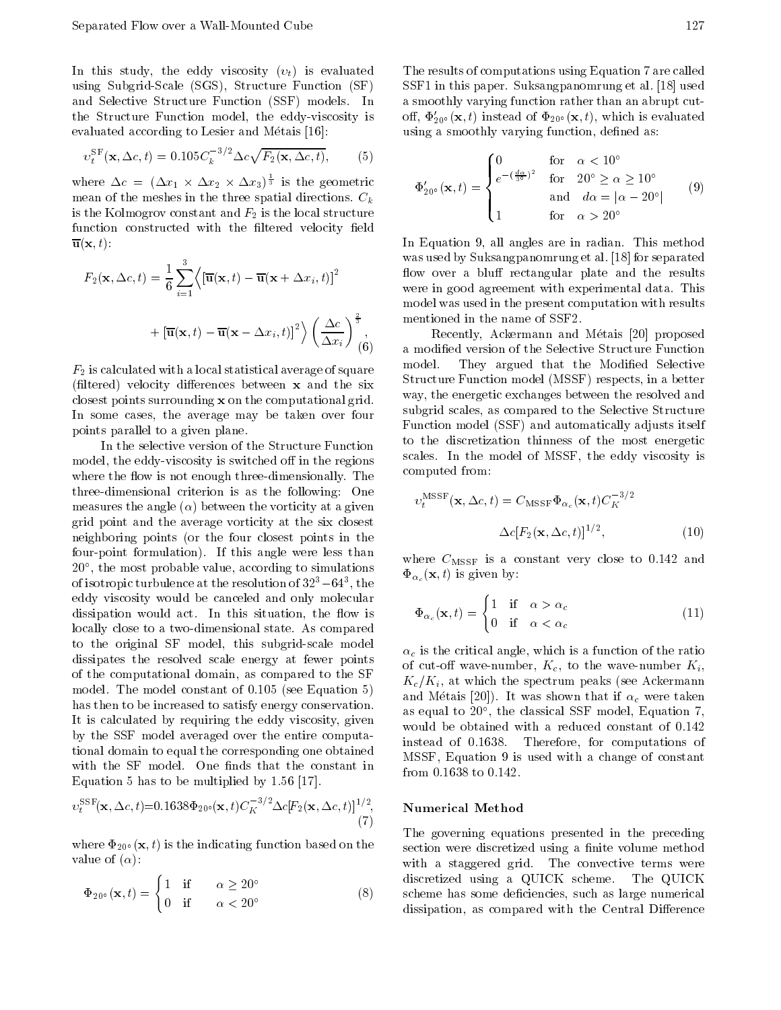In this study, the eddy viscosity  $(v_t)$  is evaluated using Subgrid-Scale (SGS), Structure Function (SF) and Selective Structure Function (SSF) models. In the Structure Function model, the eddy-viscosity is evaluated according to Lesier and Métais [16]:

$$
v_t^{\rm SF}(\mathbf{x}, \Delta c, t) = 0.105 C_k^{-3/2} \Delta c \sqrt{F_2(\mathbf{x}, \Delta c, t)},\tag{5}
$$

where  $\Delta c = (\Delta x_1 \times \Delta x_2 \times \Delta x_3)^{\frac{1}{3}}$  is the geometric mean of the meshes in the three spatial directions.  $C_k$ is the Kolmogrov constant and  $F_2$  is the local structure function constructed with the filtered velocity field  $\overline{\mathbf{u}}(\mathbf{x},t)$ :

$$
F_2(\mathbf{x}, \Delta c, t) = \frac{1}{6} \sum_{i=1}^{3} \left\langle \left[ \overline{\mathbf{u}}(\mathbf{x}, t) - \overline{\mathbf{u}}(\mathbf{x} + \Delta x_i, t) \right]^2 \right\rangle
$$

$$
+ \left[ \overline{\mathbf{u}}(\mathbf{x}, t) - \overline{\mathbf{u}}(\mathbf{x} - \Delta x_i, t) \right]^2 \left\rangle \left( \frac{\Delta c}{\Delta x_i} \right)^{\frac{2}{3}},
$$
(6)

 $F_2$  is calculated with a local statistical average of square (filtered) velocity differences between  $x$  and the six closest points surrounding x on the computational grid. In some cases, the average may be taken over four points parallel to a given plane.

In the selective version of the Structure Function model, the eddy-viscosity is switched off in the regions where the flow is not enough three-dimensionally. The three-dimensional criterion is as the following: One measures the angle  $(\alpha)$  between the vorticity at a given grid point and the average vorticity at the six closest neighboring points (or the four closest points in the four-point formulation). If this angle were less than 20 , the most probable value, according to simulations of isotropic turbulence at the resolution of  $52-64$ , the  $\,$ eddy viscosity would be canceled and only molecular dissipation would act. In this situation, the flow is locally close to a two-dimensional state. As compared to the original SF model, this subgrid-scale model dissipates the resolved scale energy at fewer points of the computational domain, as compared to the SF model. The model constant of 0.105 (see Equation 5) has then to be increased to satisfy energy conservation. It is calculated by requiring the eddy viscosity, given by the SSF model averaged over the entire computational domain to equal the corresponding one obtained with the SF model. One finds that the constant in Equation 5 has to be multiplied by 1.56 [17].

$$
v_t^{\text{SSF}}(\mathbf{x}, \Delta c, t) = 0.1638\Phi_{20}(\mathbf{x}, t)C_K^{-3/2}\Delta c[F_2(\mathbf{x}, \Delta c, t)]^{1/2}, \tag{7}
$$

where  $\Phi_{20}(\mathbf{x},t)$  is the indicating function based on the value of  $(\alpha)$ :

$$
\Phi_{20^{\circ}}(\mathbf{x},t) = \begin{cases} 1 & \text{if } \alpha \ge 20^{\circ} \\ 0 & \text{if } \alpha < 20^{\circ} \end{cases} \tag{8}
$$

The results of computations using Equation 7 are called SSF1 in this paper. Suksangpanomrung et al. [18] used <sup>a</sup> smoothly varying function rather than an abrupt cutoff,  $\Phi'_{20}(\mathbf{x}, t)$  instead of  $\Phi_{20}(\mathbf{x}, t)$ , which is evaluated using a smoothly varying function, defined as:

$$
\Phi'_{20^{\circ}}(\mathbf{x},t) = \begin{cases}\n0 & \text{for } \alpha < 10^{\circ} \\
e^{(\frac{d\alpha}{3^{\circ}})^2} & \text{for } 20^{\circ} \ge \alpha \ge 10^{\circ} \\
\text{and } d\alpha = |\alpha \quad 20^{\circ}| \\
1 & \text{for } \alpha > 20^{\circ}\n\end{cases} (9)
$$

In Equation 9, all angles are in radian. This method was used by Suksangpanomrung et al. [18] for separated flow over a bluff rectangular plate and the results were in good agreement with experimental data. This model was used in the present computation with results mentioned in the name of SSF2.

 $\langle \cdot \rangle$  a modified version of the Selective Structure Function Recently, Ackermann and Metais [20] proposed model. They argued that the Modied Selective Structure Function model (MSSF) respects, in a better way, the energetic exchanges between the resolved and subgrid scales, as compared to the Selective Structure Function model (SSF) and automatically adjusts itself to the discretization thinness of the most energetic scales. In the model of MSSF, the eddy viscosity is computed from:

$$
v_t^{\text{MSSF}}(\mathbf{x}, \Delta c, t) = C_{\text{MSSF}} \Phi_{\alpha_c}(\mathbf{x}, t) C_K^{-3/2}
$$

$$
\Delta c [F_2(\mathbf{x}, \Delta c, t)]^{1/2}, \qquad (10)
$$

where  $C_{\text{MSSF}}$  is a constant very close to 0.142 and  $\Phi_{\alpha_c}(\mathbf{x}, t)$  is given by:

$$
\Phi_{\alpha_c}(\mathbf{x},t) = \begin{cases} 1 & \text{if } \alpha > \alpha_c \\ 0 & \text{if } \alpha < \alpha_c \end{cases} \tag{11}
$$

 $\alpha_c$  is the critical angle, which is a function of the ratio of cut-off wave-number,  $K_c$ , to the wave-number  $K_i$ ,  $K_c/K_i$ , at which the spectrum peaks (see Ackermann and Métais [20]). It was shown that if  $\alpha_c$  were taken as equal to 20 , the classical SSF model, Equation 7, would be obtained with <sup>a</sup> reduced constant of 0.142 instead of 0.1638. Therefore, for computations of MSSF, Equation <sup>9</sup> is used with <sup>a</sup> change of constant from 0.1638 to 0.142.

## Numerical Method

 $\mathcal{S}$  scheme has some decident as some as the subset of  $\mathcal{S}$ The governing equations presented in the preceding section were discretized using a finite volume method with <sup>a</sup> staggered grid. The convective terms were discretized using <sup>a</sup> QUICK scheme. The QUICK dissipation, as compared with the Central Difference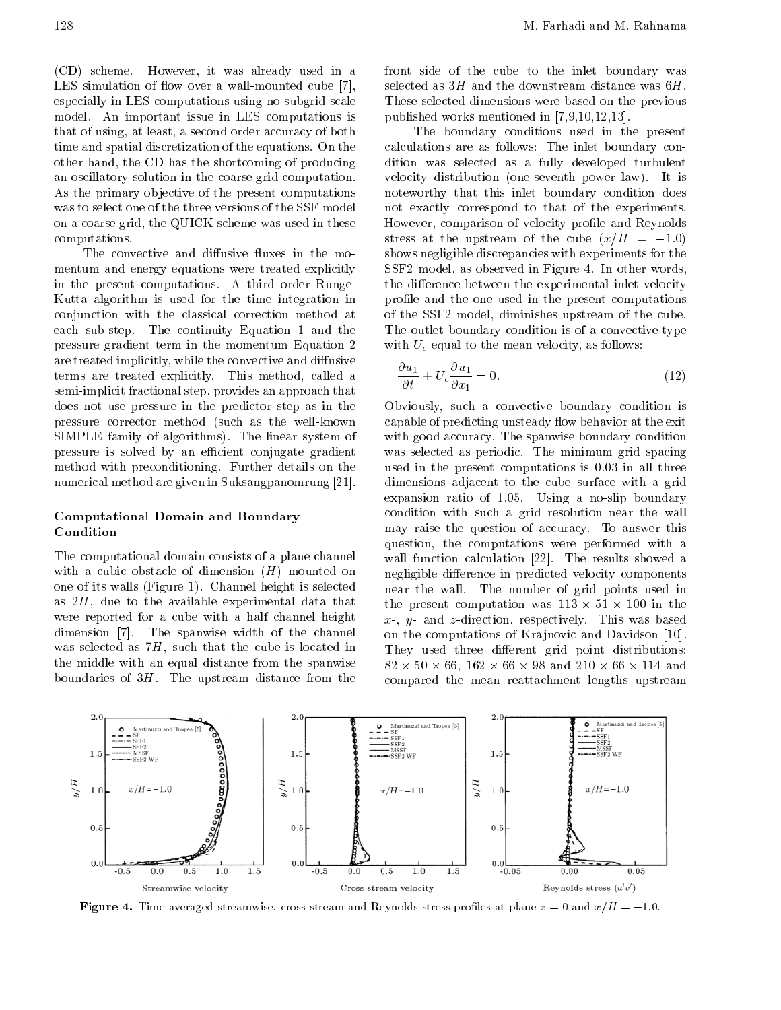(CD) scheme. However, it was already used in <sup>a</sup> LES simulation of flow over a wall-mounted cube  $[7]$ , especially in LES computations using no subgrid-scale model. An important issue in LES computations is that of using, at least, a second order accuracy of both time and spatial discretization of the equations. On the other hand, the CD has the shortcoming of producing an oscillatory solution in the coarse grid computation. As the primary objective of the present computations was to select one of the three versions of the SSF model on a coarse grid, the QUICK scheme was used in these computations.

The convective and diffusive fluxes in the momentum and energy equations were treated explicitly in the present computations. <sup>A</sup> third order Runge-Kutta algorithm is used for the time integration in conjunction with the classical correction method at each sub-step. The continuity Equation <sup>1</sup> and the pressure gradient term in the momentum Equation <sup>2</sup> are treated implicitly, while the convective and diffusive terms are treated explicitly. This method, called <sup>a</sup> semi-implicit fractional step, provides an approach that does not use pressure in the predictor step as in the pressure corrector method (such as the well-known SIMPLE family of algorithms). The linear system of pressure is solved by an efficient conjugate gradient method with preconditioning. Further details on the numerical method are given in Suksangpanomrung [21].

### Computational Domain and Boundary Condition

The computational domain consists of a plane channel with a cubic obstacle of dimension  $(H)$  mounted on one of its walls (Figure 1). Channel height is selected as 2H, due to the available experimental data that were reported for <sup>a</sup> cube with <sup>a</sup> half channel height dimension [7]. The spanwise width of the channel was selected as 7H, such that the cube is located in the middle with an equal distance from the spanwise boundaries of  $3H$ . The upstream distance from the front side of the cube to the inlet boundary was selected as  $3H$  and the downstream distance was  $6H$ . These selected dimensions were based on the previous published works mentioned in [7,9,10,12,13].

The boundary conditions used in the present calculations are as follows: The inlet boundary condition was selected as <sup>a</sup> fully developed turbulent velocity distribution (one-seventh power law). It is noteworthy that this inlet boundary condition does not exactly correspond to that of the experiments. However, comparison of velocity profile and Reynolds stress at the upstream of the cube  $(x/H)$  =  $1.0)$ shows negligible discrepancies with experiments for the SSF2 model, as observed in Figure 4. In other words, the difference between the experimental inlet velocity profile and the one used in the present computations of the SSF2 model, diminishes upstream of the cube. The outlet boundary condition is of a convective type with  $U_c$  equal to the mean velocity, as follows:

$$
\frac{\partial u_1}{\partial t} + U_c \frac{\partial u_1}{\partial x_1} = 0.
$$
\n(12)

Obviously, such <sup>a</sup> convective boundary condition is capable of predicting unsteady flow behavior at the exit with good accuracy. The spanwise boundary condition was selected as periodic. The minimum grid spacing used in the present computations is 0.03 in all three dimensions adjacent to the cube surface with <sup>a</sup> grid expansion ratio of 1.05. Using <sup>a</sup> no-slip boundary condition with such <sup>a</sup> grid resolution near the wall may raise the question of accuracy. To answer this question, the computations were performed with <sup>a</sup> wall function calculation [22]. The results showed <sup>a</sup> negligible difference in predicted velocity components near the wall. The number of grid points used in the present computation was 113 - 113 - 113 - 113 - 113 - 113 - 113 - 113 - 113 - 113 - 113 - 113 - 113 - 113  $x$ -,  $y$ - and  $z$ -direction, respectively. This was based on the computations of Krajnovic and Davidson [10]. They used three different grid point distributions: <sup>82</sup> - <sup>50</sup> - 66, <sup>162</sup> - <sup>66</sup> - <sup>98</sup> and <sup>210</sup> - <sup>66</sup> - <sup>114</sup> and compared the mean reattachment lengths upstream



**Figure 4.** Time-averaged streamwise, cross stream and Reynolds stress promes at plane  $z = 0$  and  $x/H = -1.0$ .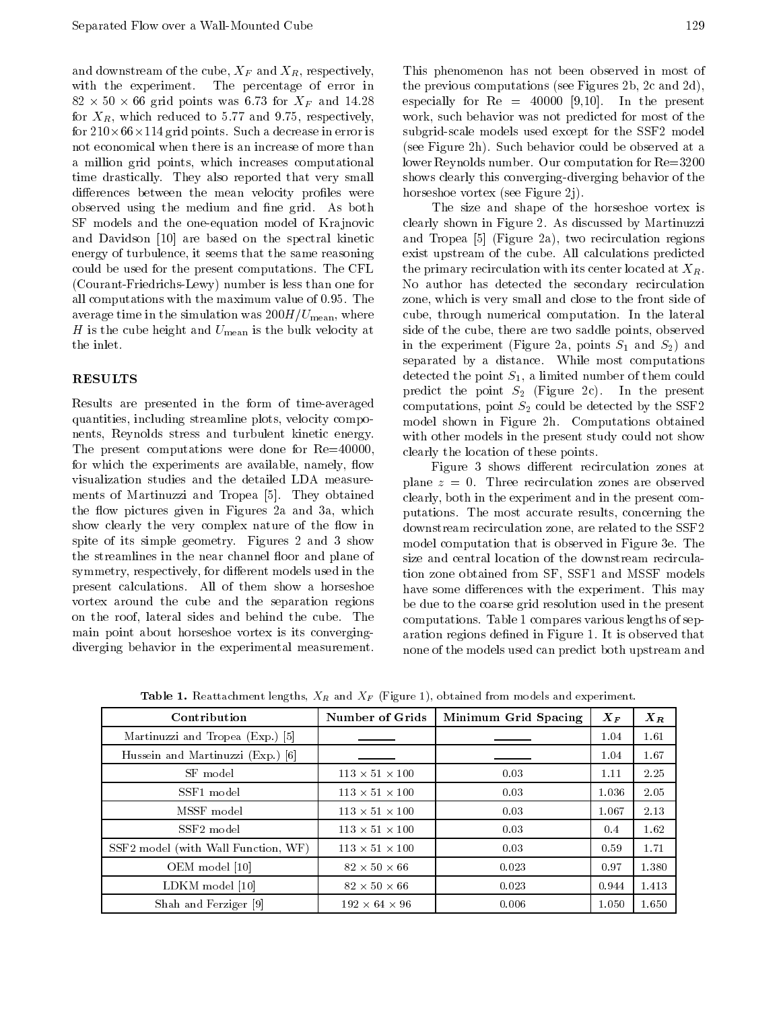and downstream of the cube,  $X_F$  and  $X_R$ , respectively, with the experiment. The percentage of error in  $\mathbf{S}$  - 6.73 for  $\mathbf{S}$  for  $\mathbf{S}$  for  $\mathbf{S}$  for  $\mathbf{S}$  for  $\mathbf{S}$ for  $X_R$ , which reduced to 5.77 and 9.75, respectively, for <sup>210</sup>-66-114 grid points. Such a decrease in error is not economical when there is an increase of more than <sup>a</sup> million grid points, which increases computational time drastically. They also reported that very small differences between the mean velocity profiles were observed using the medium and fine grid. As both SF models and the one-equation model of Krajnovic and Davidson [10] are based on the spectral kinetic energy of turbulence, it seems that the same reasoning could be used for the present computations. The CFL (Courant-Friedrichs-Lewy) number is less than one for all computations with the maximum value of 0.95. The average time in the simulation was  $200H/U_{\text{mean}}$ , where H is the cube height and  $U_{\text{mean}}$  is the bulk velocity at the inlet.

# RESULTS

Results are presented in the form of time-averaged quantities, including streamline plots, velocity components, Reynolds stress and turbulent kinetic energy. The present computations were done for Re=40000, for which the experiments are available, namely, flow visualization studies and the detailed LDA measurements of Martinuzzi and Tropea [5]. They obtained the flow pictures given in Figures 2a and 3a, which show clearly the very complex nature of the flow in spite of its simple geometry. Figures <sup>2</sup> and <sup>3</sup> show the streamlines in the near channel floor and plane of symmetry, respectively, for different models used in the present calculations. All of them show <sup>a</sup> horseshoe vortex around the cube and the separation regions on the roof, lateral sides and behind the cube. The main point about horseshoe vortex is its convergingdiverging behavior in the experimental measurement.

This phenomenon has not been observed in most of the previous computations (see Figures 2b, 2c and 2d), especially for  $Re = 40000$  [9,10]. In the present work, such behavior was not predicted for most of the subgrid-scale models used except for the SSF2 model (see Figure 2h). Such behavior could be observed at a lower Reynolds number. Our computation for Re=3200 shows clearly this converging-diverging behavior of the horseshoe vortex (see Figure 2j).

The size and shape of the horseshoe vortex is clearly shown in Figure 2. As discussed by Martinuzzi and Tropea [5] (Figure 2a), two recirculation regions exist upstream of the cube. All calculations predicted the primary recirculation with its center located at  $X_R$ . No author has detected the secondary recirculation zone, which is very small and close to the front side of cube, through numerical computation. In the lateral side of the cube, there are two saddle points, observed in the experiment (Figure 2a, points  $S_1$  and  $S_2$ ) and separated by <sup>a</sup> distance. While most computations detected the point  $S_1$ , a limited number of them could predict the point  $S_2$  (Figure 2c). In the present computations, point  $S_2$  could be detected by the SSF2 model shown in Figure 2h. Computations obtained with other models in the present study could not show clearly the location of these points.

Figure 3 shows different recirculation zones at plane  $z = 0$ . Three recirculation zones are observed clearly, both in the experiment and in the present computations. The most accurate results, concerning the downstream recirculation zone, are related to the SSF2 model computation that is observed in Figure 3e. The size and central location of the downstream recirculation zone obtained from SF, SSF1 and MSSF models have some differences with the experiment. This may be due to the coarse grid resolution used in the present computations. Table 1 compares various lengths of separation regions defined in Figure 1. It is observed that none of the models used can predict both upstream and

| Contribution                        | Number of Grids            | Minimum Grid Spacing | $\boldsymbol{X}_{\boldsymbol{F}}$ | $X_R$ |
|-------------------------------------|----------------------------|----------------------|-----------------------------------|-------|
| Martinuzzi and Tropea (Exp.) [5]    |                            |                      | 1.04                              | 1.61  |
| Hussein and Martinuzzi (Exp.) [6]   |                            |                      | 1.04                              | 1.67  |
| SF model                            | $113 \times 51 \times 100$ | 0.03                 | 1.11                              | 2.25  |
| SSF1 model                          | $113 \times 51 \times 100$ | 0.03                 | 1.036                             | 2.05  |
| MSSF model                          | $113 \times 51 \times 100$ | 0.03                 | 1.067                             | 2.13  |
| SSF <sub>2</sub> model              | $113 \times 51 \times 100$ | 0.03                 | 0.4                               | 1.62  |
| SSF2 model (with Wall Function, WF) | $113 \times 51 \times 100$ | 0.03                 | 0.59                              | 1.71  |
| OEM model [10]                      | $82 \times 50 \times 66$   | 0.023                | 0.97                              | 1.380 |
| LDKM model [10]                     | $82 \times 50 \times 66$   | 0.023                | 0.944                             | 1.413 |
| Shah and Ferziger [9]               | $192 \times 64 \times 96$  | 0.006                | 1.050                             | 1.650 |

**Table 1.** Reattachment lengths,  $\Lambda_R$  and  $\Lambda_F$  (Figure 1), obtained from models and experiment.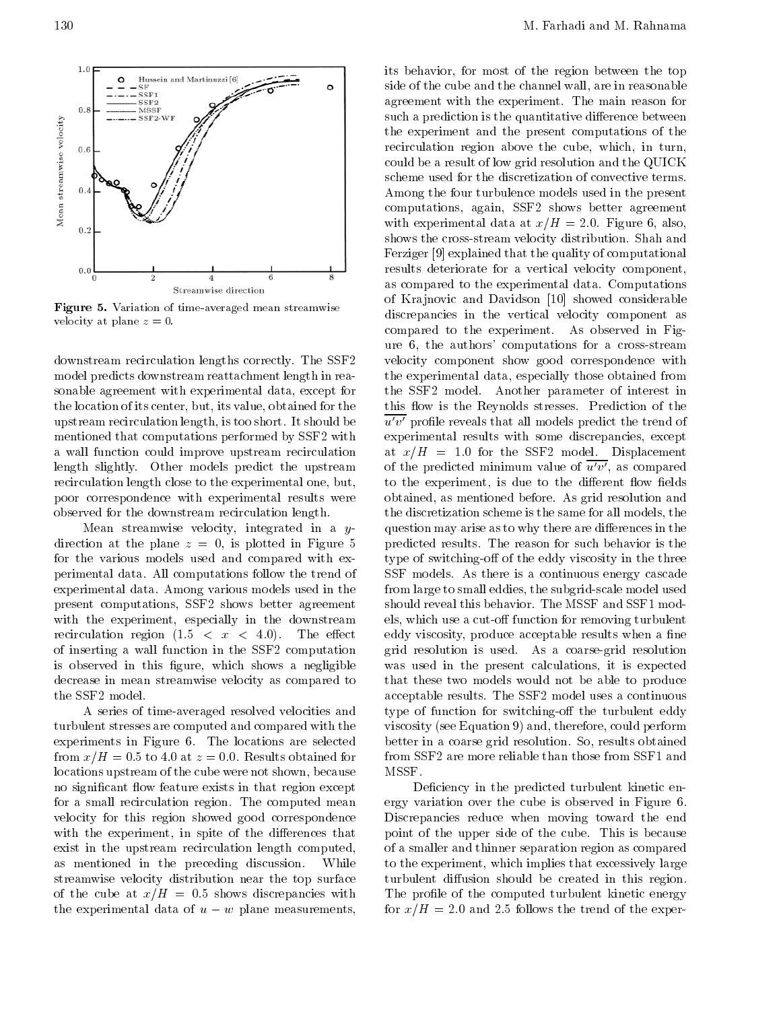

Figure 5. Variation of time-averaged mean streamwise velocity at plane  $z = 0$ .

downstream recirculation lengths correctly. The SSF2 model predicts downstream reattachment length in reasonable agreement with experimental data, except for the location of its center, but, its value, obtained for the upstream recirculation length, is too short. It should be mentioned that computations performed by SSF2 with <sup>a</sup> wall function could improve upstream recirculation length slightly. Other models predict the upstream recirculation length close to the experimental one, but, poor correspondence with experimental results were observed for the downstream recirculation length.

Mean streamwise velocity, integrated in a  $y$ direction at the plane  $z = 0$ , is plotted in Figure 5 for the various models used and compared with experimental data. All computations follow the trend of experimental data. Among various models used in the present computations, SSF2 shows better agreement with the experiment, especially in the downstream recirculation region  $(1.5 < x < 4.0)$ . The effect of inserting <sup>a</sup> wall function in the SSF2 computation is observed in this figure, which shows a negligible decrease in mean streamwise velocity as compared to the SSF2 model.

<sup>A</sup> series of time-averaged resolved velocities and turbulent stresses are computed and compared with the experiments in Figure 6. The locations are selected from  $x/H = 0.5$  to 4.0 at  $z = 0.0$ . Results obtained for locations upstream of the cube were not shown, because no significant flow feature exists in that region except for <sup>a</sup> small recirculation region. The computed mean velocity for this region showed good correspondence with the experiment, in spite of the differences that exist in the upstream recirculation length computed, as mentioned in the preceding discussion. While streamwise velocity distribution near the top surface of the cube at  $x/H = 0.5$  shows discrepancies with the experimental data of  $u \quad w$  plane measurements, its behavior, for most of the region between the top side of the cube and the channel wall, are in reasonable agreement with the experiment. The main reason for such a prediction is the quantitative difference between the experiment and the present computations of the recirculation region above the cube, which, in turn, could be a result of low grid resolution and the QUICK scheme used for the discretization of convective terms. Among the four turbulence models used in the present computations, again, SSF2 shows better agreement with experimental data at  $x/H = 2.0$ . Figure 6, also, shows the cross-stream velocity distribution. Shah and Ferziger [9] explained that the quality of computational results deteriorate for <sup>a</sup> vertical velocity component, as compared to the experimental data. Computations of Krajnovic and Davidson [10] showed considerable discrepancies in the vertical velocity component as compared to the experiment. As observed in Figure 6, the authors' computations for <sup>a</sup> cross-stream velocity component show good correspondence with the experimental data, especially those obtained from the SSF2 model. Another parameter of interest in this flow is the Reynolds stresses. Prediction of the  $\overline{u'v'}$  profile reveals that all models predict the trend of experimental results with some discrepancies, except at  $x/H = 1.0$  for the SSF2 model. Displacement of the predicted minimum value of  $\overline{u'v'}$ , as compared to the experiment, is due to the different flow fields obtained, as mentioned before. As grid resolution and the discretization scheme is the same for all models, the question may arise as to why there are differences in the predicted results. The reason for such behavior is the type of switching-off of the eddy viscosity in the three SSF models. As there is a continuous energy cascade from large to small eddies, the subgrid-scale model used should reveal this behavior. The MSSF and SSF1 models, which use a cut-off function for removing turbulent eddy viscosity, produce acceptable results when a fine grid resolution is used. As a coarse-grid resolution was used in the present calculations, it is expected that these two models would not be able to produce acceptable results. The SSF2 model uses a continuous type of function for switching-off the turbulent eddy viscosity (see Equation 9) and, therefore, could perform better in a coarse grid resolution. So, results obtained from SSF2 are more reliable than those from SSF1 and MSSF.

Deficiency in the predicted turbulent kinetic energy variation over the cube is observed in Figure 6. Discrepancies reduce when moving toward the end point of the upper side of the cube. This is because of a smaller and thinner separation region as compared to the experiment, which implies that excessively large turbulent diffusion should be created in this region. The profile of the computed turbulent kinetic energy for  $x/H = 2.0$  and 2.5 follows the trend of the exper-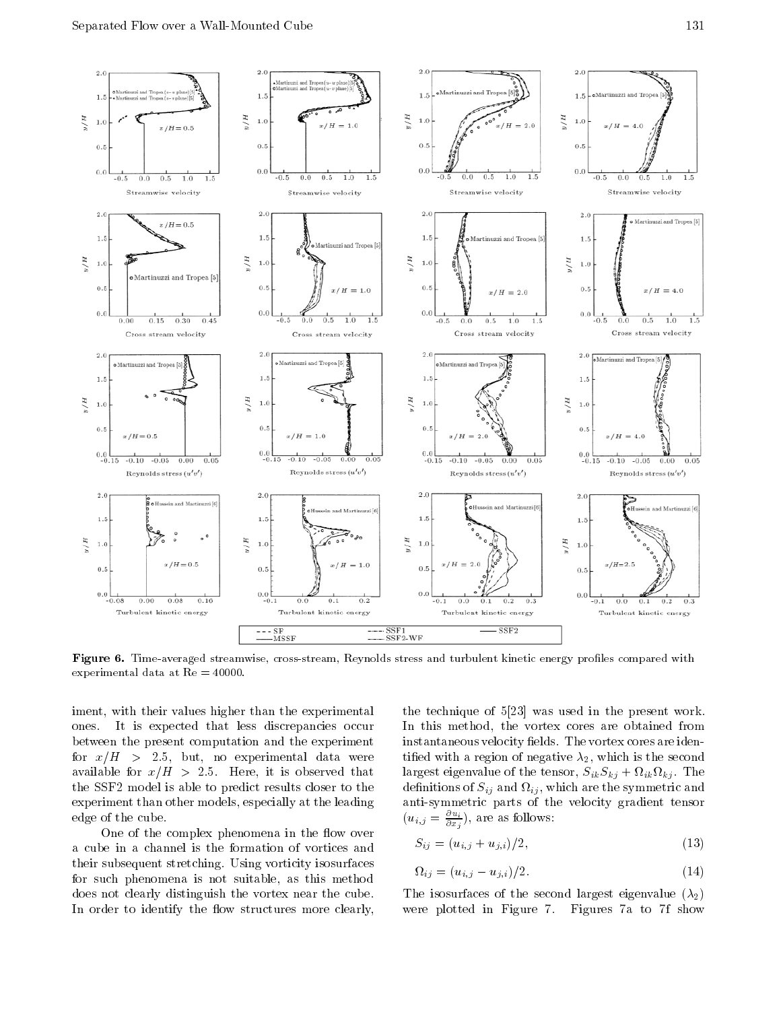

Figure 6. Time-averaged streamwise, cross-stream, Reynolds stress and turbulent kinetic energy proles compared with experimental data at Re = 40000.

iment, with their values higher than the experimental ones. It is expected that less discrepancies occur between the present computation and the experiment for  $x/H > 2.5$ , but, no experimental data were available for  $x/H > 2.5$ . Here, it is observed that the SSF2 model is able to predict results closer to the experiment than other models, especially at the leading edge of the cube.

One of the complex phenomena in the flow over <sup>a</sup> cube in <sup>a</sup> channel is the formation of vortices and their subsequent stretching. Using vorticity isosurfaces for such phenomena is not suitable, as this method does not clearly distinguish the vortex near the cube. In order to identify the flow structures more clearly, the technique of 5[23] was used in the present work. In this method, the vortex cores are obtained from instantaneous velocity fields. The vortex cores are identified with a region of negative  $\lambda_2$ , which is the second largest eigenvalue of the tensor, SikSkj <sup>+</sup> ik kj . The denotes a single  $\{ \ }$  , which are symmetric and symmetric and are the symmetric and  $\alpha$ anti-symmetric parts of the velocity gradient tensor  $(u_{i,j} = \frac{u_{i,j}}{\partial x_i}),$  are as follows:

$$
S_{ij} = (u_{i,j} + u_{j,i})/2, \tag{13}
$$

$$
\Omega_{ij} = (u_{i,j} \quad u_{j,i})/2. \tag{14}
$$

The isosurfaces of the second largest eigenvalue  $(\lambda_2)$ were plotted in Figure 7. Figures 7a to 7f show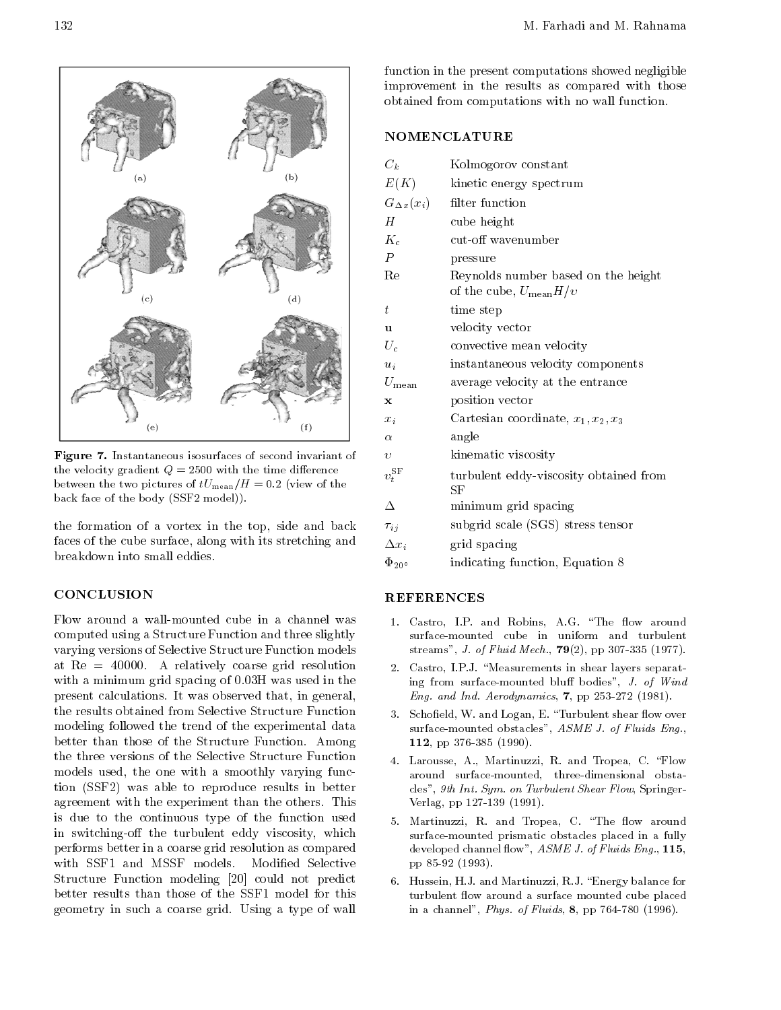

Figure 7. Instantaneous isosurfaces of second invariant of the velocity gradient  $Q = 2500$  with the time difference between the two pictures of  $tU_{\text{mean}}/H = 0.2$  (view of the back face of the body (SSF2 model)).

the formation of <sup>a</sup> vortex in the top, side and back faces of the cube surface, along with its stretching and breakdown into small eddies.

### **CONCLUSION**

Flow around <sup>a</sup> wall-mounted cube in <sup>a</sup> channel was computed using a Structure Function and three slightly varying versions of Selective Structure Function models at Re <sup>=</sup> 40000. <sup>A</sup> relatively coarse grid resolution with a minimum grid spacing of 0.03H was used in the present calculations. It was observed that, in general, the results obtained from Selective Structure Function modeling followed the trend of the experimental data better than those of the Structure Function. Among the three versions of the Selective Structure Function models used, the one with <sup>a</sup> smoothly varying function (SSF2) was able to reproduce results in better agreement with the experiment than the others. This is due to the continuous type of the function used in switching-off the turbulent eddy viscosity, which performs better in a coarse grid resolution as compared with SSF1 and MSSF models. Modified Selective Structure Function modeling [20] could not predict better results than those of the SSF1 model for this geometry in such <sup>a</sup> coarse grid. Using <sup>a</sup> type of wall function in the present computations showed negligible improvement in the results as compared with those obtained from computations with no wall function.

### NOMENCLATURE

| $C_k$               | Kolmogorov constant                                                      |
|---------------------|--------------------------------------------------------------------------|
| E(K)                | kinetic energy spectrum                                                  |
| $G_{\Delta x}(x_i)$ | filter function                                                          |
| Н                   | cube height                                                              |
| $K_c$               | cut-off wavenumber                                                       |
| $\overline{P}$      | pressure                                                                 |
| Re                  | Reynolds number based on the height<br>of the cube, $U_{\text{mean}}H/v$ |
| $t_{\rm}$           | time step                                                                |
| u                   | velocity vector                                                          |
| $U_c$               | convective mean velocity                                                 |
| $u_i$               | instantaneous velocity components                                        |
| $U_{\rm mean}$      | average velocity at the entrance                                         |
| X                   | position vector                                                          |
| $x_i$               | Cartesian coordinate, $x_1, x_2, x_3$                                    |
| $\alpha$            | angle                                                                    |
| $\upsilon$          | kinematic viscosity                                                      |
| $v_t^{\rm SF}$      | turbulent eddy-viscosity obtained from<br>SF                             |
| Δ                   | minimum grid spacing                                                     |
| $\tau_{ij}$         | subgrid scale (SGS) stress tensor                                        |
| $\Delta x_i$        | grid spacing                                                             |
| $\Phi_{20}$         | indicating function, Equation 8                                          |

- 1. Castro, I.P. and Robins, A.G. "The flow around surface-mounted cube in uniform and turbulent streams", J. of Fluid Mech., 79(2), pp 307-335 (1977).
- 2. Castro, I.P.J. "Measurements in shear layers separating from surface-mounted bluff bodies",  $J.$  of Wind Eng. and Ind. Aerodynamics,  $7$ , pp 253-272 (1981).
- 3. Schofield, W. and Logan, E. "Turbulent shear flow over surface-mounted obstacles", ASME J. of Fluids Eng., 112, pp 376-385 (1990).
- 4. Larousse, A., Martinuzzi, R. and Tropea, C. "Flow around surface-mounted, three-dimensional obstacles", 9th Int. Sym. on Turbulent Shear Flow, Springer-Verlag, pp 127-139 (1991).
- 5. Martinuzzi, R. and Tropea, C. "The flow around surface-mounted prismatic obstacles placed in a fully developed channel flow", ASME J. of Fluids Eng., 115, pp 85-92 (1993).
- 6. Hussein, H.J. and Martinuzzi, R.J. \Energy balance for turbulent flow around a surface mounted cube placed in a channel", Phys. of Fluids, 8, pp 764-780 (1996).